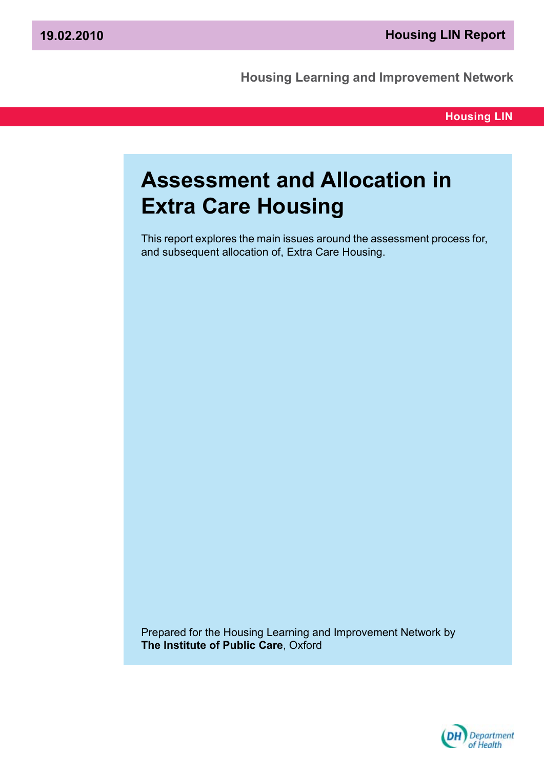**Housing Learning and Improvement Network**

**Housing LIN**

# **Assessment and Allocation in Extra Care Housing**

This report explores the main issues around the assessment process for, and subsequent allocation of, Extra Care Housing.

Prepared for the Housing Learning and Improvement Network by **The Institute of Public Care**, Oxford

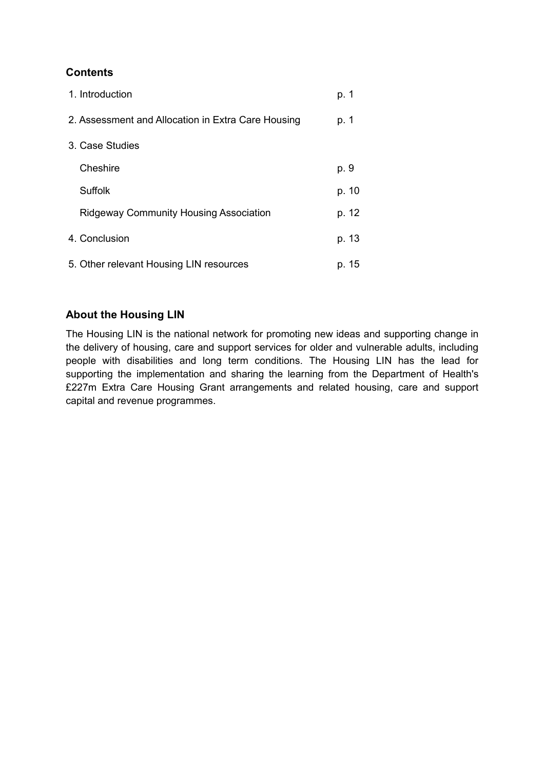# **Contents**

| 1. Introduction                                    | p. 1  |
|----------------------------------------------------|-------|
| 2. Assessment and Allocation in Extra Care Housing | p. 1  |
| 3. Case Studies                                    |       |
| Cheshire                                           | p. 9  |
| <b>Suffolk</b>                                     | p. 10 |
| <b>Ridgeway Community Housing Association</b>      | p. 12 |
| 4. Conclusion                                      | p. 13 |
| 5. Other relevant Housing LIN resources            | p. 15 |

# **About the Housing LIN**

The Housing LIN is the national network for promoting new ideas and supporting change in the delivery of housing, care and support services for older and vulnerable adults, including people with disabilities and long term conditions. The Housing LIN has the lead for supporting the implementation and sharing the learning from the Department of Health's £227m Extra Care Housing Grant arrangements and related housing, care and support capital and revenue programmes.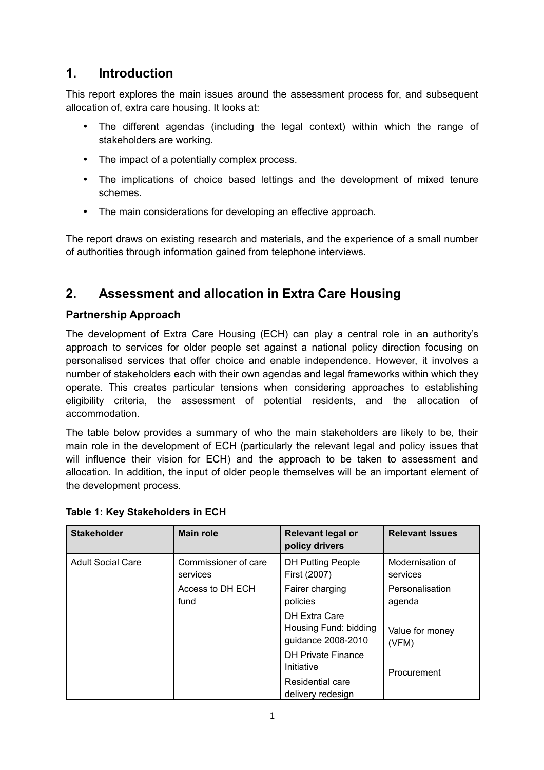# **1. Introduction**

This report explores the main issues around the assessment process for, and subsequent allocation of, extra care housing. It looks at:

- The different agendas (including the legal context) within which the range of stakeholders are working.
- The impact of a potentially complex process.
- The implications of choice based lettings and the development of mixed tenure schemes.
- The main considerations for developing an effective approach.

The report draws on existing research and materials, and the experience of a small number of authorities through information gained from telephone interviews.

# **2. Assessment and allocation in Extra Care Housing**

# **Partnership Approach**

The development of Extra Care Housing (ECH) can play a central role in an authority's approach to services for older people set against a national policy direction focusing on personalised services that offer choice and enable independence. However, it involves a number of stakeholders each with their own agendas and legal frameworks within which they operate. This creates particular tensions when considering approaches to establishing eligibility criteria, the assessment of potential residents, and the allocation of accommodation.

The table below provides a summary of who the main stakeholders are likely to be, their main role in the development of ECH (particularly the relevant legal and policy issues that will influence their vision for ECH) and the approach to be taken to assessment and allocation. In addition, the input of older people themselves will be an important element of the development process.

| <b>Stakeholder</b>       | <b>Main role</b>                 | Relevant legal or<br>policy drivers                          | <b>Relevant Issues</b>       |
|--------------------------|----------------------------------|--------------------------------------------------------------|------------------------------|
| <b>Adult Social Care</b> | Commissioner of care<br>services | <b>DH Putting People</b><br>First (2007)                     | Modernisation of<br>services |
|                          | Access to DH ECH<br>fund         | Fairer charging<br>policies                                  | Personalisation<br>agenda    |
|                          |                                  | DH Extra Care<br>Housing Fund: bidding<br>guidance 2008-2010 | Value for money<br>(VFM)     |
|                          |                                  | <b>DH Private Finance</b><br>Initiative                      | Procurement                  |
|                          |                                  | Residential care<br>delivery redesign                        |                              |

# **Table 1: Key Stakeholders in ECH**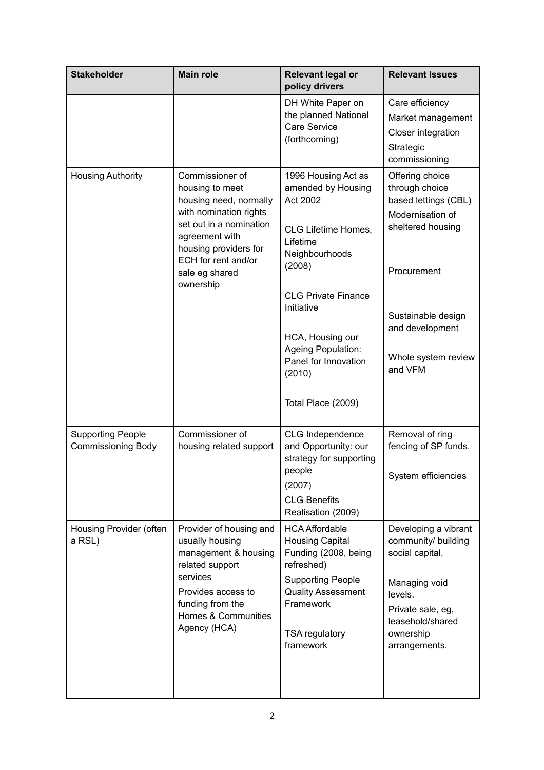| <b>Stakeholder</b>                                    | <b>Main role</b>                                                                                                                                                                                                   | <b>Relevant legal or</b><br>policy drivers                                                                                                                                                                                                                         | <b>Relevant Issues</b>                                                                                                                                                                       |
|-------------------------------------------------------|--------------------------------------------------------------------------------------------------------------------------------------------------------------------------------------------------------------------|--------------------------------------------------------------------------------------------------------------------------------------------------------------------------------------------------------------------------------------------------------------------|----------------------------------------------------------------------------------------------------------------------------------------------------------------------------------------------|
|                                                       |                                                                                                                                                                                                                    | DH White Paper on<br>the planned National<br>Care Service<br>(forthcoming)                                                                                                                                                                                         | Care efficiency<br>Market management<br>Closer integration<br>Strategic<br>commissioning                                                                                                     |
| <b>Housing Authority</b>                              | Commissioner of<br>housing to meet<br>housing need, normally<br>with nomination rights<br>set out in a nomination<br>agreement with<br>housing providers for<br>ECH for rent and/or<br>sale eg shared<br>ownership | 1996 Housing Act as<br>amended by Housing<br>Act 2002<br>CLG Lifetime Homes,<br>Lifetime<br>Neighbourhoods<br>(2008)<br><b>CLG Private Finance</b><br>Initiative<br>HCA, Housing our<br>Ageing Population:<br>Panel for Innovation<br>(2010)<br>Total Place (2009) | Offering choice<br>through choice<br>based lettings (CBL)<br>Modernisation of<br>sheltered housing<br>Procurement<br>Sustainable design<br>and development<br>Whole system review<br>and VFM |
| <b>Supporting People</b><br><b>Commissioning Body</b> | Commissioner of<br>housing related support                                                                                                                                                                         | CLG Independence<br>and Opportunity: our<br>strategy for supporting<br>people<br>(2007)<br><b>CLG Benefits</b><br>Realisation (2009)                                                                                                                               | Removal of ring<br>fencing of SP funds.<br>System efficiencies                                                                                                                               |
| Housing Provider (often<br>a RSL)                     | Provider of housing and<br>usually housing<br>management & housing<br>related support<br>services<br>Provides access to<br>funding from the<br><b>Homes &amp; Communities</b><br>Agency (HCA)                      | <b>HCA Affordable</b><br><b>Housing Capital</b><br>Funding (2008, being<br>refreshed)<br><b>Supporting People</b><br><b>Quality Assessment</b><br>Framework<br>TSA regulatory<br>framework                                                                         | Developing a vibrant<br>community/ building<br>social capital.<br>Managing void<br>levels.<br>Private sale, eg,<br>leasehold/shared<br>ownership<br>arrangements.                            |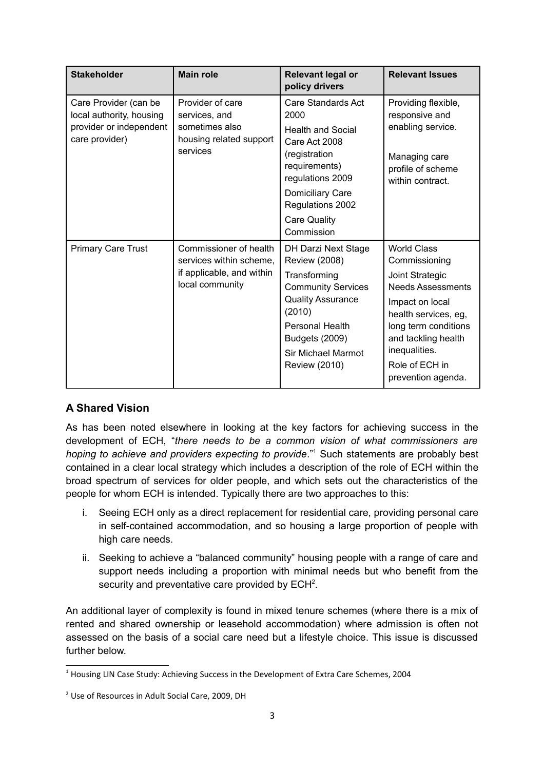| <b>Stakeholder</b>                                                                             | <b>Main role</b>                                                                                  | <b>Relevant legal or</b><br>policy drivers                                                                                                                                                                               | <b>Relevant Issues</b>                                                                                                                                                                                                                |
|------------------------------------------------------------------------------------------------|---------------------------------------------------------------------------------------------------|--------------------------------------------------------------------------------------------------------------------------------------------------------------------------------------------------------------------------|---------------------------------------------------------------------------------------------------------------------------------------------------------------------------------------------------------------------------------------|
| Care Provider (can be<br>local authority, housing<br>provider or independent<br>care provider) | Provider of care<br>services, and<br>sometimes also<br>housing related support<br>services        | Care Standards Act<br>2000<br><b>Health and Social</b><br>Care Act 2008<br>(registration<br>requirements)<br>regulations 2009<br>Domiciliary Care<br>Regulations 2002                                                    | Providing flexible,<br>responsive and<br>enabling service.<br>Managing care<br>profile of scheme<br>within contract.                                                                                                                  |
|                                                                                                |                                                                                                   | <b>Care Quality</b><br>Commission                                                                                                                                                                                        |                                                                                                                                                                                                                                       |
| <b>Primary Care Trust</b>                                                                      | Commissioner of health<br>services within scheme,<br>if applicable, and within<br>local community | DH Darzi Next Stage<br><b>Review (2008)</b><br>Transforming<br><b>Community Services</b><br><b>Quality Assurance</b><br>(2010)<br>Personal Health<br><b>Budgets (2009)</b><br>Sir Michael Marmot<br><b>Review (2010)</b> | <b>World Class</b><br>Commissioning<br>Joint Strategic<br><b>Needs Assessments</b><br>Impact on local<br>health services, eg,<br>long term conditions<br>and tackling health<br>inequalities.<br>Role of ECH in<br>prevention agenda. |

# **A Shared Vision**

As has been noted elsewhere in looking at the key factors for achieving success in the development of ECH, "*there needs to be a common vision of what commissioners are* hoping to achieve and providers expecting to provide."<sup>[1](#page-4-0)</sup> Such statements are probably best contained in a clear local strategy which includes a description of the role of ECH within the broad spectrum of services for older people, and which sets out the characteristics of the people for whom ECH is intended. Typically there are two approaches to this:

- i. Seeing ECH only as a direct replacement for residential care, providing personal care in self-contained accommodation, and so housing a large proportion of people with high care needs.
- ii. Seeking to achieve a "balanced community" housing people with a range of care and support needs including a proportion with minimal needs but who benefit from the security and preventative care provided by  $ECH<sup>2</sup>$  $ECH<sup>2</sup>$  $ECH<sup>2</sup>$ .

An additional layer of complexity is found in mixed tenure schemes (where there is a mix of rented and shared ownership or leasehold accommodation) where admission is often not assessed on the basis of a social care need but a lifestyle choice. This issue is discussed further below.

<span id="page-4-0"></span><sup>&</sup>lt;sup>1</sup> Housing LIN Case Study: Achieving Success in the Development of Extra Care Schemes, 2004

<span id="page-4-1"></span><sup>&</sup>lt;sup>2</sup> Use of Resources in Adult Social Care, 2009, DH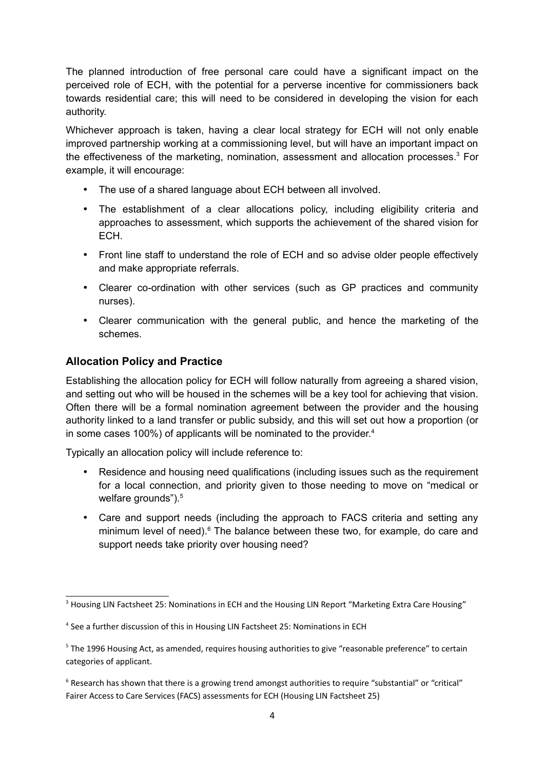The planned introduction of free personal care could have a significant impact on the perceived role of ECH, with the potential for a perverse incentive for commissioners back towards residential care; this will need to be considered in developing the vision for each authority.

Whichever approach is taken, having a clear local strategy for ECH will not only enable improved partnership working at a commissioning level, but will have an important impact on the effectiveness of the marketing, nomination, assessment and allocation processes.<sup>[3](#page-5-0)</sup> For example, it will encourage:

- The use of a shared language about ECH between all involved.
- The establishment of a clear allocations policy, including eligibility criteria and approaches to assessment, which supports the achievement of the shared vision for ECH.
- Front line staff to understand the role of ECH and so advise older people effectively and make appropriate referrals.
- Clearer co-ordination with other services (such as GP practices and community nurses).
- Clearer communication with the general public, and hence the marketing of the schemes.

# **Allocation Policy and Practice**

Establishing the allocation policy for ECH will follow naturally from agreeing a shared vision, and setting out who will be housed in the schemes will be a key tool for achieving that vision. Often there will be a formal nomination agreement between the provider and the housing authority linked to a land transfer or public subsidy, and this will set out how a proportion (or in some cases 100%) of applicants will be nominated to the provider. $4$ 

Typically an allocation policy will include reference to:

- Residence and housing need qualifications (including issues such as the requirement for a local connection, and priority given to those needing to move on "medical or welfare grounds").<sup>[5](#page-5-2)</sup>
- Care and support needs (including the approach to FACS criteria and setting any minimum level of need).<sup>[6](#page-5-3)</sup> The balance between these two, for example, do care and support needs take priority over housing need?

<span id="page-5-0"></span><sup>&</sup>lt;sup>3</sup> Housing LIN Factsheet 25: Nominations in ECH and the Housing LIN Report "Marketing Extra Care Housing"

<span id="page-5-1"></span><sup>&</sup>lt;sup>4</sup> See a further discussion of this in Housing LIN Factsheet 25: Nominations in ECH

<span id="page-5-2"></span><sup>&</sup>lt;sup>5</sup> The 1996 Housing Act, as amended, requires housing authorities to give "reasonable preference" to certain categories of applicant.

<span id="page-5-3"></span> $6$  Research has shown that there is a growing trend amongst authorities to require "substantial" or "critical" Fairer Access to Care Services (FACS) assessments for ECH (Housing LIN Factsheet 25)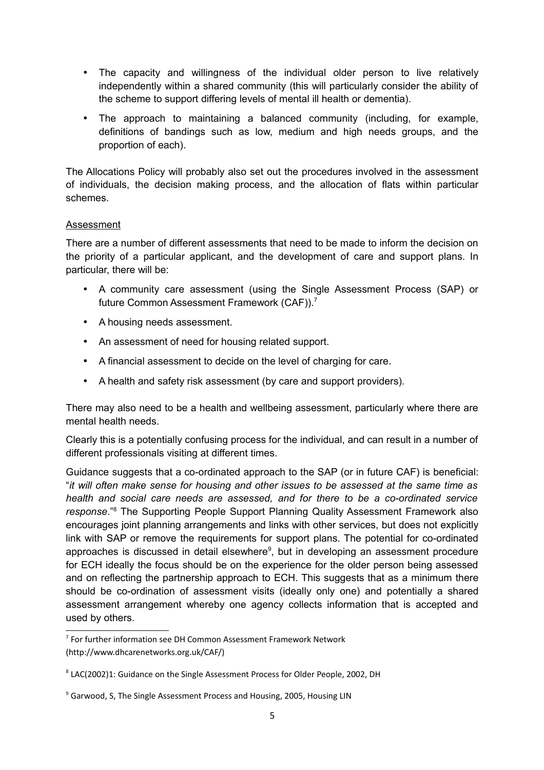- The capacity and willingness of the individual older person to live relatively independently within a shared community (this will particularly consider the ability of the scheme to support differing levels of mental ill health or dementia).
- The approach to maintaining a balanced community (including, for example, definitions of bandings such as low, medium and high needs groups, and the proportion of each).

The Allocations Policy will probably also set out the procedures involved in the assessment of individuals, the decision making process, and the allocation of flats within particular schemes.

#### Assessment

There are a number of different assessments that need to be made to inform the decision on the priority of a particular applicant, and the development of care and support plans. In particular, there will be:

- A community care assessment (using the Single Assessment Process (SAP) or future Common Assessment Framework (CAF)).[7](#page-6-0)
- A housing needs assessment.
- An assessment of need for housing related support.
- A financial assessment to decide on the level of charging for care.
- A health and safety risk assessment (by care and support providers).

There may also need to be a health and wellbeing assessment, particularly where there are mental health needs.

Clearly this is a potentially confusing process for the individual, and can result in a number of different professionals visiting at different times.

Guidance suggests that a co-ordinated approach to the SAP (or in future CAF) is beneficial: "*it will often make sense for housing and other issues to be assessed at the same time as health and social care needs are assessed, and for there to be a co-ordinated service* response.<sup>"[8](#page-6-1)</sup> The Supporting People Support Planning Quality Assessment Framework also encourages joint planning arrangements and links with other services, but does not explicitly link with SAP or remove the requirements for support plans. The potential for co-ordinated approaches is discussed in detail elsewhere<sup>[9](#page-6-2)</sup>, but in developing an assessment procedure for ECH ideally the focus should be on the experience for the older person being assessed and on reflecting the partnership approach to ECH. This suggests that as a minimum there should be co-ordination of assessment visits (ideally only one) and potentially a shared assessment arrangement whereby one agency collects information that is accepted and used by others.

<span id="page-6-0"></span><sup>&</sup>lt;sup>7</sup> For further information see DH Common Assessment Framework Network (http://www.dhcarenetworks.org.uk/CAF/)

<span id="page-6-1"></span><sup>&</sup>lt;sup>8</sup> LAC(2002)1: Guidance on the Single Assessment Process for Older People, 2002, DH

<span id="page-6-2"></span><sup>&</sup>lt;sup>9</sup> Garwood, S, The Single Assessment Process and Housing, 2005, Housing LIN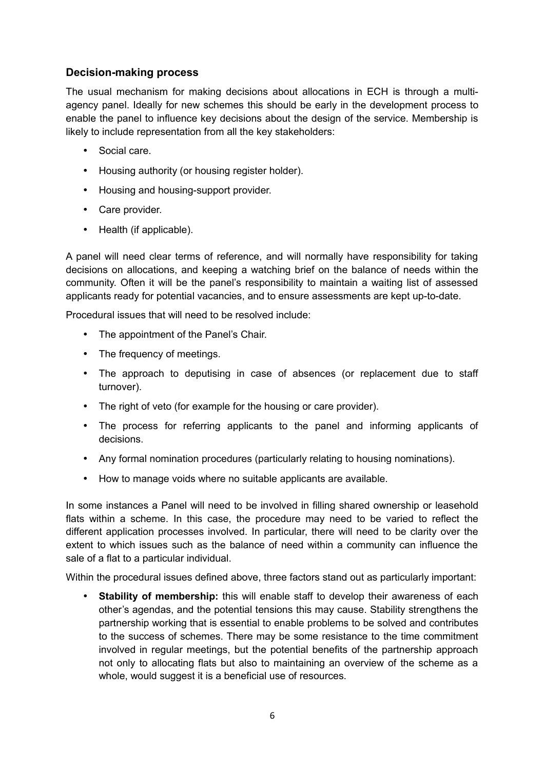## **Decision-making process**

The usual mechanism for making decisions about allocations in ECH is through a multiagency panel. Ideally for new schemes this should be early in the development process to enable the panel to influence key decisions about the design of the service. Membership is likely to include representation from all the key stakeholders:

- Social care.
- Housing authority (or housing register holder).
- Housing and housing-support provider.
- Care provider.
- Health (if applicable).

A panel will need clear terms of reference, and will normally have responsibility for taking decisions on allocations, and keeping a watching brief on the balance of needs within the community. Often it will be the panel's responsibility to maintain a waiting list of assessed applicants ready for potential vacancies, and to ensure assessments are kept up-to-date.

Procedural issues that will need to be resolved include:

- The appointment of the Panel's Chair.
- The frequency of meetings.
- The approach to deputising in case of absences (or replacement due to staff turnover).
- The right of veto (for example for the housing or care provider).
- The process for referring applicants to the panel and informing applicants of decisions.
- Any formal nomination procedures (particularly relating to housing nominations).
- How to manage voids where no suitable applicants are available.

In some instances a Panel will need to be involved in filling shared ownership or leasehold flats within a scheme. In this case, the procedure may need to be varied to reflect the different application processes involved. In particular, there will need to be clarity over the extent to which issues such as the balance of need within a community can influence the sale of a flat to a particular individual.

Within the procedural issues defined above, three factors stand out as particularly important:

• **Stability of membership:** this will enable staff to develop their awareness of each other's agendas, and the potential tensions this may cause. Stability strengthens the partnership working that is essential to enable problems to be solved and contributes to the success of schemes. There may be some resistance to the time commitment involved in regular meetings, but the potential benefits of the partnership approach not only to allocating flats but also to maintaining an overview of the scheme as a whole, would suggest it is a beneficial use of resources.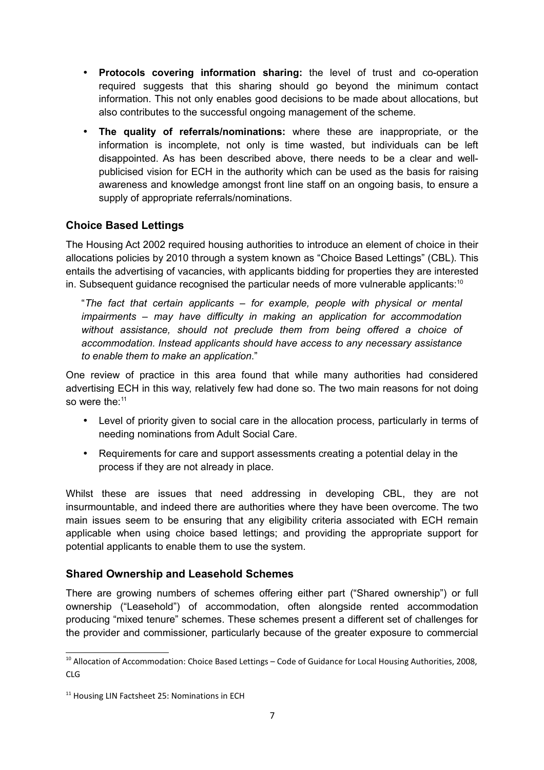- **Protocols covering information sharing:** the level of trust and co-operation required suggests that this sharing should go beyond the minimum contact information. This not only enables good decisions to be made about allocations, but also contributes to the successful ongoing management of the scheme.
- **The quality of referrals/nominations:** where these are inappropriate, or the information is incomplete, not only is time wasted, but individuals can be left disappointed. As has been described above, there needs to be a clear and wellpublicised vision for ECH in the authority which can be used as the basis for raising awareness and knowledge amongst front line staff on an ongoing basis, to ensure a supply of appropriate referrals/nominations.

# **Choice Based Lettings**

The Housing Act 2002 required housing authorities to introduce an element of choice in their allocations policies by 2010 through a system known as "Choice Based Lettings" (CBL). This entails the advertising of vacancies, with applicants bidding for properties they are interested in. Subsequent guidance recognised the particular needs of more vulnerable applicants:<sup>[10](#page-8-0)</sup>

"*The fact that certain applicants – for example, people with physical or mental impairments – may have difficulty in making an application for accommodation without assistance, should not preclude them from being offered a choice of accommodation. Instead applicants should have access to any necessary assistance to enable them to make an application*."

One review of practice in this area found that while many authorities had considered advertising ECH in this way, relatively few had done so. The two main reasons for not doing so were the:<sup>[11](#page-8-1)</sup>

- Level of priority given to social care in the allocation process, particularly in terms of needing nominations from Adult Social Care.
- Requirements for care and support assessments creating a potential delay in the process if they are not already in place.

Whilst these are issues that need addressing in developing CBL, they are not insurmountable, and indeed there are authorities where they have been overcome. The two main issues seem to be ensuring that any eligibility criteria associated with ECH remain applicable when using choice based lettings; and providing the appropriate support for potential applicants to enable them to use the system.

# **Shared Ownership and Leasehold Schemes**

There are growing numbers of schemes offering either part ("Shared ownership") or full ownership ("Leasehold") of accommodation, often alongside rented accommodation producing "mixed tenure" schemes. These schemes present a different set of challenges for the provider and commissioner, particularly because of the greater exposure to commercial

<span id="page-8-0"></span><sup>&</sup>lt;sup>10</sup> Allocation of Accommodation: Choice Based Lettings – Code of Guidance for Local Housing Authorities, 2008, CLG

<span id="page-8-1"></span><sup>&</sup>lt;sup>11</sup> Housing LIN Factsheet 25: Nominations in ECH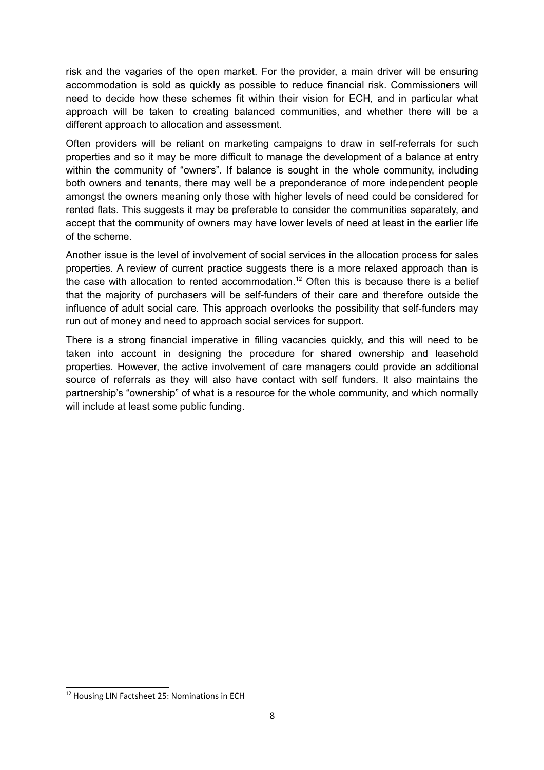risk and the vagaries of the open market. For the provider, a main driver will be ensuring accommodation is sold as quickly as possible to reduce financial risk. Commissioners will need to decide how these schemes fit within their vision for ECH, and in particular what approach will be taken to creating balanced communities, and whether there will be a different approach to allocation and assessment.

Often providers will be reliant on marketing campaigns to draw in self-referrals for such properties and so it may be more difficult to manage the development of a balance at entry within the community of "owners". If balance is sought in the whole community, including both owners and tenants, there may well be a preponderance of more independent people amongst the owners meaning only those with higher levels of need could be considered for rented flats. This suggests it may be preferable to consider the communities separately, and accept that the community of owners may have lower levels of need at least in the earlier life of the scheme.

Another issue is the level of involvement of social services in the allocation process for sales properties. A review of current practice suggests there is a more relaxed approach than is the case with allocation to rented accommodation.<sup>[12](#page-9-0)</sup> Often this is because there is a belief that the majority of purchasers will be self-funders of their care and therefore outside the influence of adult social care. This approach overlooks the possibility that self-funders may run out of money and need to approach social services for support.

There is a strong financial imperative in filling vacancies quickly, and this will need to be taken into account in designing the procedure for shared ownership and leasehold properties. However, the active involvement of care managers could provide an additional source of referrals as they will also have contact with self funders. It also maintains the partnership's "ownership" of what is a resource for the whole community, and which normally will include at least some public funding.

<span id="page-9-0"></span><sup>&</sup>lt;sup>12</sup> Housing LIN Factsheet 25: Nominations in ECH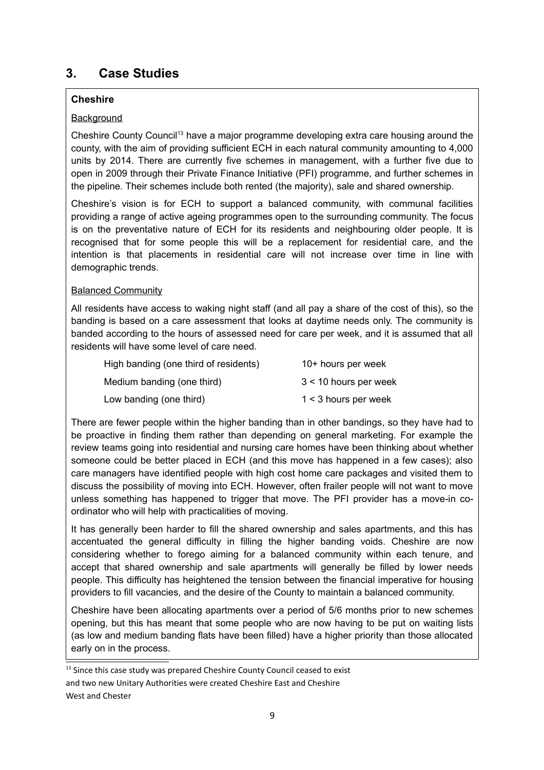# **3. Case Studies**

#### **Cheshire**

#### **Background**

Cheshire County Council<sup>[13](#page-10-0)</sup> have a major programme developing extra care housing around the county, with the aim of providing sufficient ECH in each natural community amounting to 4,000 units by 2014. There are currently five schemes in management, with a further five due to open in 2009 through their Private Finance Initiative (PFI) programme, and further schemes in the pipeline. Their schemes include both rented (the majority), sale and shared ownership.

Cheshire's vision is for ECH to support a balanced community, with communal facilities providing a range of active ageing programmes open to the surrounding community. The focus is on the preventative nature of ECH for its residents and neighbouring older people. It is recognised that for some people this will be a replacement for residential care, and the intention is that placements in residential care will not increase over time in line with demographic trends.

#### Balanced Community

All residents have access to waking night staff (and all pay a share of the cost of this), so the banding is based on a care assessment that looks at daytime needs only. The community is banded according to the hours of assessed need for care per week, and it is assumed that all residents will have some level of care need.

| High banding (one third of residents) | 10+ hours per week      |
|---------------------------------------|-------------------------|
| Medium banding (one third)            | $3 < 10$ hours per week |
| Low banding (one third)               | $1 < 3$ hours per week  |

There are fewer people within the higher banding than in other bandings, so they have had to be proactive in finding them rather than depending on general marketing. For example the review teams going into residential and nursing care homes have been thinking about whether someone could be better placed in ECH (and this move has happened in a few cases); also care managers have identified people with high cost home care packages and visited them to discuss the possibility of moving into ECH. However, often frailer people will not want to move unless something has happened to trigger that move. The PFI provider has a move-in coordinator who will help with practicalities of moving.

It has generally been harder to fill the shared ownership and sales apartments, and this has accentuated the general difficulty in filling the higher banding voids. Cheshire are now considering whether to forego aiming for a balanced community within each tenure, and accept that shared ownership and sale apartments will generally be filled by lower needs people. This difficulty has heightened the tension between the financial imperative for housing providers to fill vacancies, and the desire of the County to maintain a balanced community.

Cheshire have been allocating apartments over a period of 5/6 months prior to new schemes opening, but this has meant that some people who are now having to be put on waiting lists (as low and medium banding flats have been filled) have a higher priority than those allocated early on in the process.

<span id="page-10-0"></span> $13$  Since this case study was prepared Cheshire County Council ceased to exist and two new Unitary Authorities were created Cheshire East and Cheshire West and Chester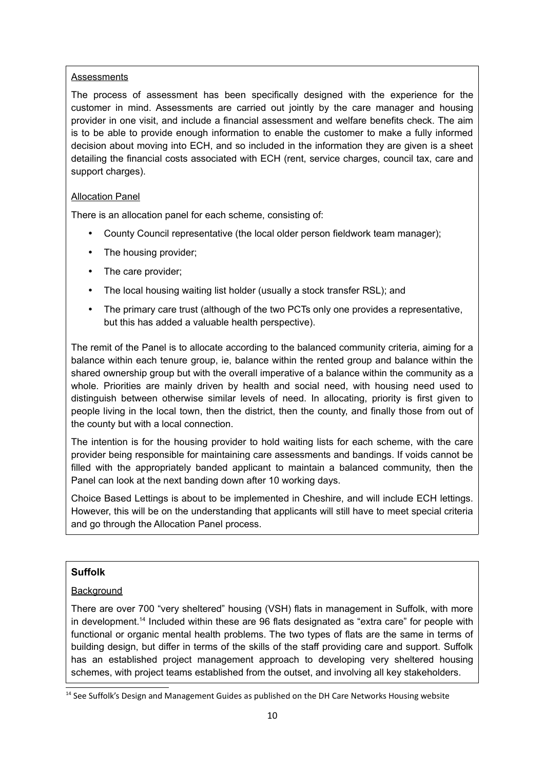#### **Assessments**

The process of assessment has been specifically designed with the experience for the customer in mind. Assessments are carried out jointly by the care manager and housing provider in one visit, and include a financial assessment and welfare benefits check. The aim is to be able to provide enough information to enable the customer to make a fully informed decision about moving into ECH, and so included in the information they are given is a sheet detailing the financial costs associated with ECH (rent, service charges, council tax, care and support charges).

#### Allocation Panel

There is an allocation panel for each scheme, consisting of:

- County Council representative (the local older person fieldwork team manager);
- The housing provider;
- The care provider;
- The local housing waiting list holder (usually a stock transfer RSL); and
- The primary care trust (although of the two PCTs only one provides a representative, but this has added a valuable health perspective).

The remit of the Panel is to allocate according to the balanced community criteria, aiming for a balance within each tenure group, ie, balance within the rented group and balance within the shared ownership group but with the overall imperative of a balance within the community as a whole. Priorities are mainly driven by health and social need, with housing need used to distinguish between otherwise similar levels of need. In allocating, priority is first given to people living in the local town, then the district, then the county, and finally those from out of the county but with a local connection.

The intention is for the housing provider to hold waiting lists for each scheme, with the care provider being responsible for maintaining care assessments and bandings. If voids cannot be filled with the appropriately banded applicant to maintain a balanced community, then the Panel can look at the next banding down after 10 working days.

Choice Based Lettings is about to be implemented in Cheshire, and will include ECH lettings. However, this will be on the understanding that applicants will still have to meet special criteria and go through the Allocation Panel process.

#### **Suffolk**

#### **Background**

There are over 700 "very sheltered" housing (VSH) flats in management in Suffolk, with more in development.[14](#page-11-0) Included within these are 96 flats designated as "extra care" for people with functional or organic mental health problems. The two types of flats are the same in terms of building design, but differ in terms of the skills of the staff providing care and support. Suffolk has an established project management approach to developing very sheltered housing schemes, with project teams established from the outset, and involving all key stakeholders.

<span id="page-11-0"></span><sup>&</sup>lt;sup>14</sup> See Suffolk's Design and Management Guides as published on the DH Care Networks Housing website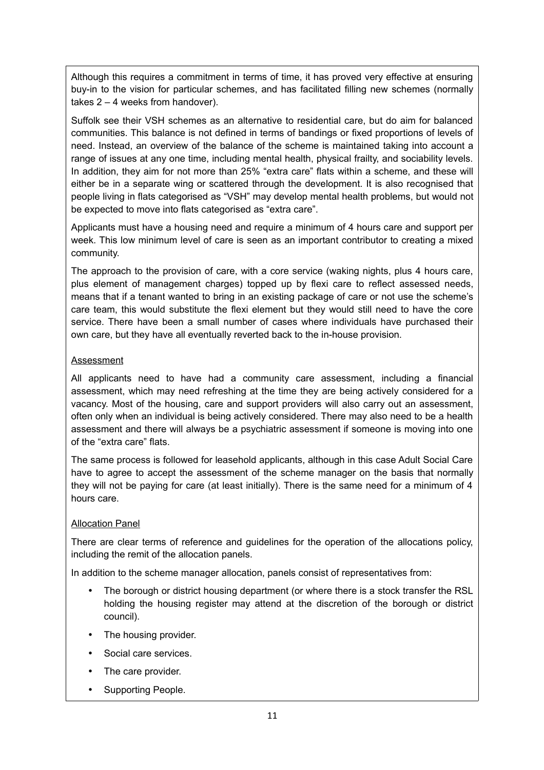Although this requires a commitment in terms of time, it has proved very effective at ensuring buy-in to the vision for particular schemes, and has facilitated filling new schemes (normally takes  $2 - 4$  weeks from handover).

Suffolk see their VSH schemes as an alternative to residential care, but do aim for balanced communities. This balance is not defined in terms of bandings or fixed proportions of levels of need. Instead, an overview of the balance of the scheme is maintained taking into account a range of issues at any one time, including mental health, physical frailty, and sociability levels. In addition, they aim for not more than 25% "extra care" flats within a scheme, and these will either be in a separate wing or scattered through the development. It is also recognised that people living in flats categorised as "VSH" may develop mental health problems, but would not be expected to move into flats categorised as "extra care".

Applicants must have a housing need and require a minimum of 4 hours care and support per week. This low minimum level of care is seen as an important contributor to creating a mixed community.

The approach to the provision of care, with a core service (waking nights, plus 4 hours care, plus element of management charges) topped up by flexi care to reflect assessed needs, means that if a tenant wanted to bring in an existing package of care or not use the scheme's care team, this would substitute the flexi element but they would still need to have the core service. There have been a small number of cases where individuals have purchased their own care, but they have all eventually reverted back to the in-house provision.

#### Assessment

All applicants need to have had a community care assessment, including a financial assessment, which may need refreshing at the time they are being actively considered for a vacancy. Most of the housing, care and support providers will also carry out an assessment, often only when an individual is being actively considered. There may also need to be a health assessment and there will always be a psychiatric assessment if someone is moving into one of the "extra care" flats.

The same process is followed for leasehold applicants, although in this case Adult Social Care have to agree to accept the assessment of the scheme manager on the basis that normally they will not be paying for care (at least initially). There is the same need for a minimum of 4 hours care.

#### Allocation Panel

There are clear terms of reference and guidelines for the operation of the allocations policy, including the remit of the allocation panels.

In addition to the scheme manager allocation, panels consist of representatives from:

- The borough or district housing department (or where there is a stock transfer the RSL holding the housing register may attend at the discretion of the borough or district council).
- The housing provider.
- Social care services.
- The care provider.
- Supporting People.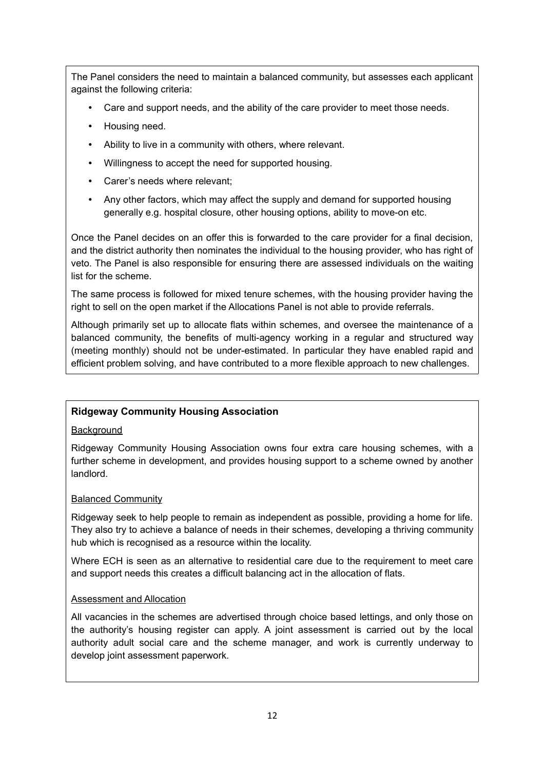The Panel considers the need to maintain a balanced community, but assesses each applicant against the following criteria:

- Care and support needs, and the ability of the care provider to meet those needs.
- Housing need.
- Ability to live in a community with others, where relevant.
- Willingness to accept the need for supported housing.
- Carer's needs where relevant;
- Any other factors, which may affect the supply and demand for supported housing generally e.g. hospital closure, other housing options, ability to move-on etc.

Once the Panel decides on an offer this is forwarded to the care provider for a final decision, and the district authority then nominates the individual to the housing provider, who has right of veto. The Panel is also responsible for ensuring there are assessed individuals on the waiting list for the scheme.

The same process is followed for mixed tenure schemes, with the housing provider having the right to sell on the open market if the Allocations Panel is not able to provide referrals.

Although primarily set up to allocate flats within schemes, and oversee the maintenance of a balanced community, the benefits of multi-agency working in a regular and structured way (meeting monthly) should not be under-estimated. In particular they have enabled rapid and efficient problem solving, and have contributed to a more flexible approach to new challenges.

#### **Ridgeway Community Housing Association**

#### **Background**

Ridgeway Community Housing Association owns four extra care housing schemes, with a further scheme in development, and provides housing support to a scheme owned by another landlord.

#### Balanced Community

Ridgeway seek to help people to remain as independent as possible, providing a home for life. They also try to achieve a balance of needs in their schemes, developing a thriving community hub which is recognised as a resource within the locality.

Where ECH is seen as an alternative to residential care due to the requirement to meet care and support needs this creates a difficult balancing act in the allocation of flats.

#### Assessment and Allocation

All vacancies in the schemes are advertised through choice based lettings, and only those on the authority's housing register can apply. A joint assessment is carried out by the local authority adult social care and the scheme manager, and work is currently underway to develop joint assessment paperwork.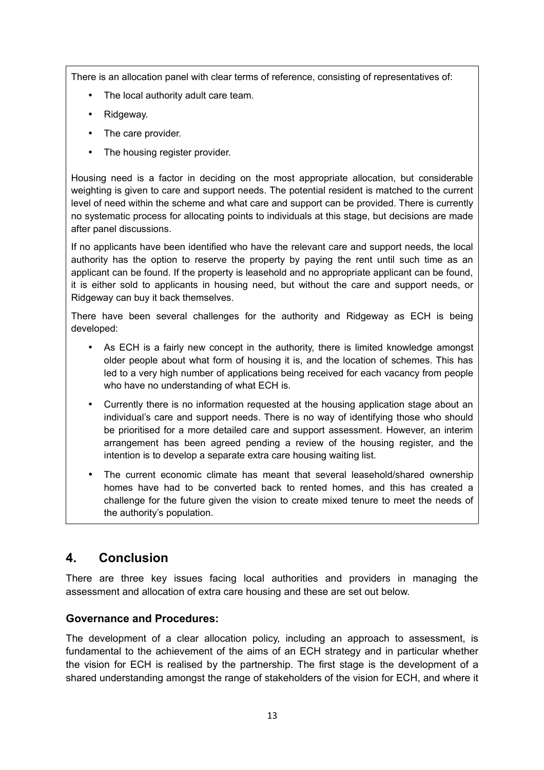There is an allocation panel with clear terms of reference, consisting of representatives of:

- The local authority adult care team.
- Ridgeway.
- The care provider.
- The housing register provider.

Housing need is a factor in deciding on the most appropriate allocation, but considerable weighting is given to care and support needs. The potential resident is matched to the current level of need within the scheme and what care and support can be provided. There is currently no systematic process for allocating points to individuals at this stage, but decisions are made after panel discussions.

If no applicants have been identified who have the relevant care and support needs, the local authority has the option to reserve the property by paying the rent until such time as an applicant can be found. If the property is leasehold and no appropriate applicant can be found, it is either sold to applicants in housing need, but without the care and support needs, or Ridgeway can buy it back themselves.

There have been several challenges for the authority and Ridgeway as ECH is being developed:

- As ECH is a fairly new concept in the authority, there is limited knowledge amongst older people about what form of housing it is, and the location of schemes. This has led to a very high number of applications being received for each vacancy from people who have no understanding of what ECH is.
- Currently there is no information requested at the housing application stage about an individual's care and support needs. There is no way of identifying those who should be prioritised for a more detailed care and support assessment. However, an interim arrangement has been agreed pending a review of the housing register, and the intention is to develop a separate extra care housing waiting list.
- The current economic climate has meant that several leasehold/shared ownership homes have had to be converted back to rented homes, and this has created a challenge for the future given the vision to create mixed tenure to meet the needs of the authority's population.

# **4. Conclusion**

There are three key issues facing local authorities and providers in managing the assessment and allocation of extra care housing and these are set out below.

# **Governance and Procedures:**

The development of a clear allocation policy, including an approach to assessment, is fundamental to the achievement of the aims of an ECH strategy and in particular whether the vision for ECH is realised by the partnership. The first stage is the development of a shared understanding amongst the range of stakeholders of the vision for ECH, and where it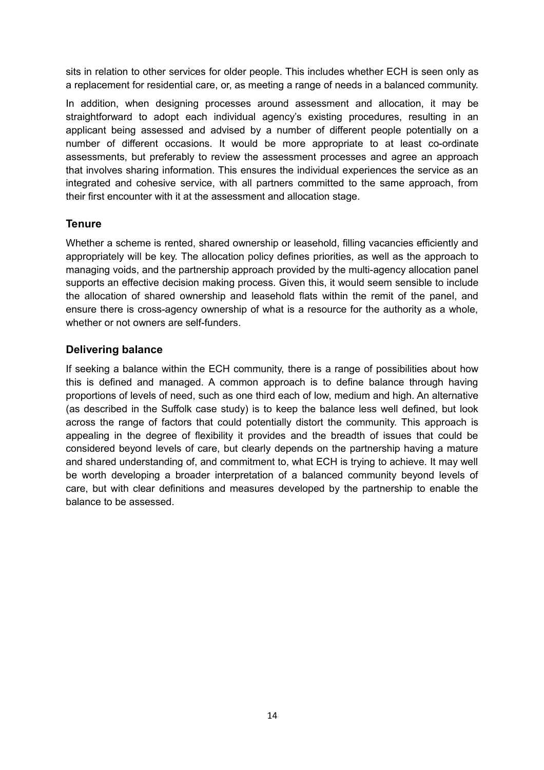sits in relation to other services for older people. This includes whether ECH is seen only as a replacement for residential care, or, as meeting a range of needs in a balanced community.

In addition, when designing processes around assessment and allocation, it may be straightforward to adopt each individual agency's existing procedures, resulting in an applicant being assessed and advised by a number of different people potentially on a number of different occasions. It would be more appropriate to at least co-ordinate assessments, but preferably to review the assessment processes and agree an approach that involves sharing information. This ensures the individual experiences the service as an integrated and cohesive service, with all partners committed to the same approach, from their first encounter with it at the assessment and allocation stage.

### **Tenure**

Whether a scheme is rented, shared ownership or leasehold, filling vacancies efficiently and appropriately will be key. The allocation policy defines priorities, as well as the approach to managing voids, and the partnership approach provided by the multi-agency allocation panel supports an effective decision making process. Given this, it would seem sensible to include the allocation of shared ownership and leasehold flats within the remit of the panel, and ensure there is cross-agency ownership of what is a resource for the authority as a whole, whether or not owners are self-funders.

#### **Delivering balance**

If seeking a balance within the ECH community, there is a range of possibilities about how this is defined and managed. A common approach is to define balance through having proportions of levels of need, such as one third each of low, medium and high. An alternative (as described in the Suffolk case study) is to keep the balance less well defined, but look across the range of factors that could potentially distort the community. This approach is appealing in the degree of flexibility it provides and the breadth of issues that could be considered beyond levels of care, but clearly depends on the partnership having a mature and shared understanding of, and commitment to, what ECH is trying to achieve. It may well be worth developing a broader interpretation of a balanced community beyond levels of care, but with clear definitions and measures developed by the partnership to enable the balance to be assessed.